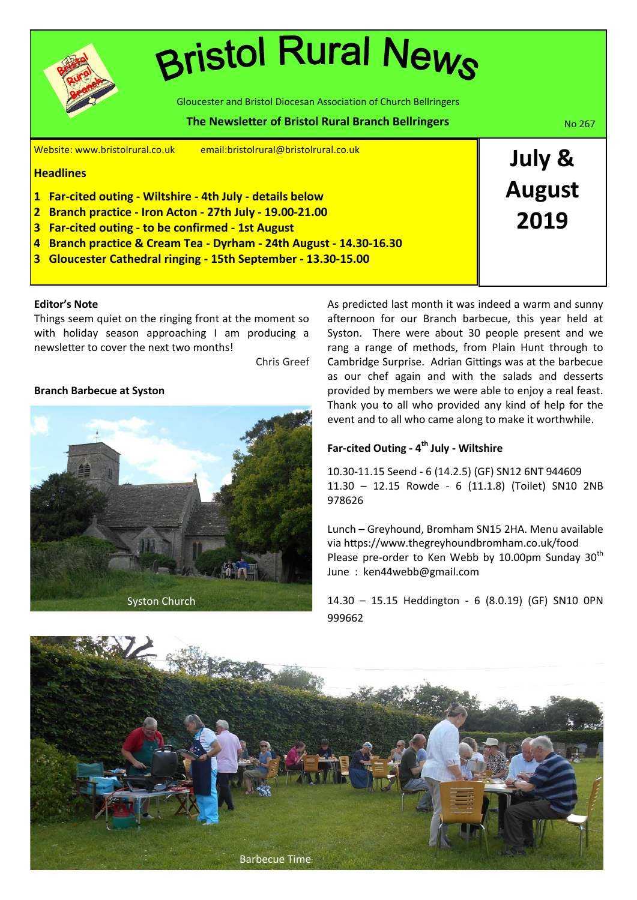

# **Bristol Rural News**

Gloucester and Bristol Diocesan Association of Church Bellringers

#### Website: www.bristolrural.co.uk email:bristolrural@bristolrural.co.uk **Headlines 1 Far-cited outing - Wiltshire - 4th July - details below 2 Branch practice - Iron Acton - 27th July - 19.00-21.00 3 Far-cited outing - to be confirmed - 1st August 4 Branch practice & Cream Tea - Dyrham - 24th August - 14.30-16.30 3 Gloucester Cathedral ringing - 15th September - 13.30-15.00 July & August 2019 The Newsletter of Bristol Rural Branch Bellringers No. 267 Mo. 267**

#### **Editor's Note**

Things seem quiet on the ringing front at the moment so with holiday season approaching I am producing a newsletter to cover the next two months!

Chris Greef

#### **Branch Barbecue at Syston**



As predicted last month it was indeed a warm and sunny afternoon for our Branch barbecue, this year held at Syston. There were about 30 people present and we rang a range of methods, from Plain Hunt through to Cambridge Surprise. Adrian Gittings was at the barbecue as our chef again and with the salads and desserts provided by members we were able to enjoy a real feast. Thank you to all who provided any kind of help for the event and to all who came along to make it worthwhile.

#### **Far-cited Outing - 4th July - Wiltshire**

10.30-11.15 Seend - 6 (14.2.5) (GF) SN12 6NT 944609 11.30 – 12.15 Rowde - 6 (11.1.8) (Toilet) SN10 2NB 978626

Lunch – Greyhound, Bromham SN15 2HA. Menu available via https://www.thegreyhoundbromham.co.uk/food Please pre-order to Ken Webb by 10.00pm Sunday  $30<sup>th</sup>$ June : ken44webb@gmail.com

14.30 – 15.15 Heddington - 6 (8.0.19) (GF) SN10 0PN 999662

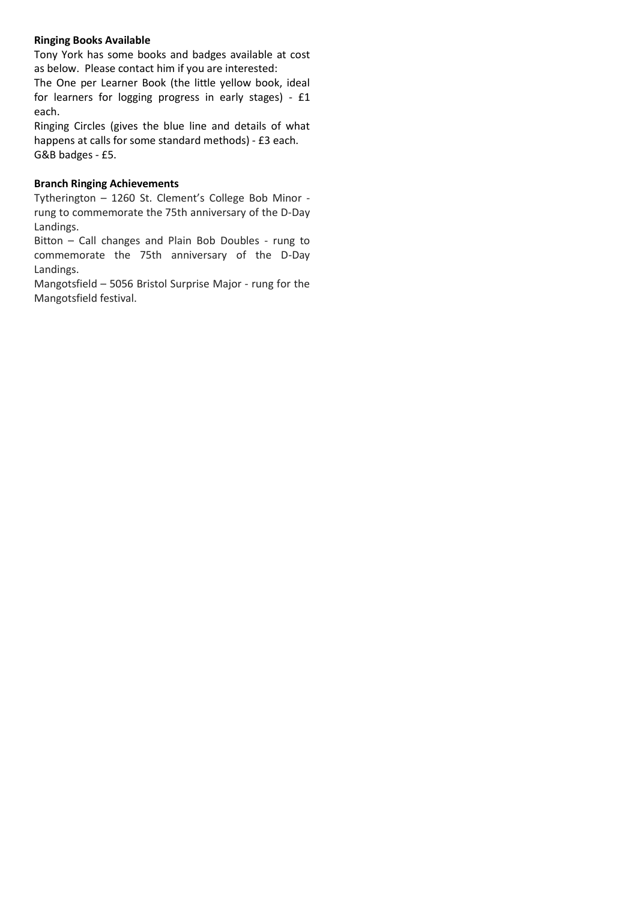#### **Ringing Books Available**

Tony York has some books and badges available at cost as below. Please contact him if you are interested:

The One per Learner Book (the little yellow book, ideal for learners for logging progress in early stages) - £1 each.

Ringing Circles (gives the blue line and details of what happens at calls for some standard methods) - £3 each. G&B badges - £5.

#### **Branch Ringing Achievements**

Tytherington – 1260 St. Clement's College Bob Minor rung to commemorate the 75th anniversary of the D-Day Landings.

Bitton – Call changes and Plain Bob Doubles - rung to commemorate the 75th anniversary of the D-Day Landings.

Mangotsfield – 5056 Bristol Surprise Major - rung for the Mangotsfield festival.